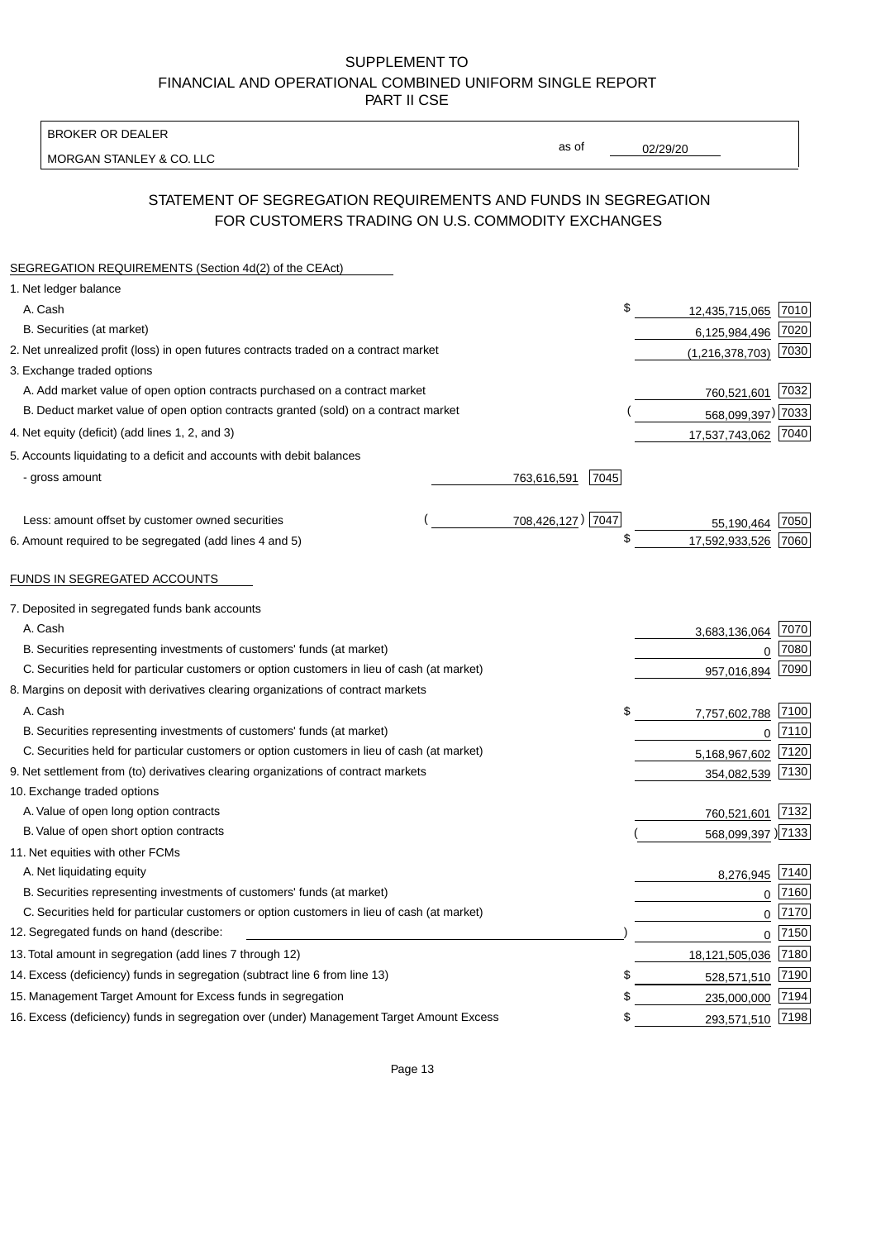BROKER OR DEALER

MORGAN STANLEY & CO. LLC

02/29/20

as of

# STATEMENT OF SEGREGATION REQUIREMENTS AND FUNDS IN SEGREGATION FOR CUSTOMERS TRADING ON U.S. COMMODITY EXCHANGES

| SEGREGATION REQUIREMENTS (Section 4d(2) of the CEAct)                                       |                     |                     |      |
|---------------------------------------------------------------------------------------------|---------------------|---------------------|------|
| 1. Net ledger balance                                                                       |                     |                     |      |
| A. Cash                                                                                     | \$                  | 12,435,715,065      | 7010 |
| B. Securities (at market)                                                                   |                     | 6,125,984,496       | 7020 |
| 2. Net unrealized profit (loss) in open futures contracts traded on a contract market       |                     | (1, 216, 378, 703)  | 7030 |
| 3. Exchange traded options                                                                  |                     |                     |      |
| A. Add market value of open option contracts purchased on a contract market                 |                     | 760,521,601         | 7032 |
| B. Deduct market value of open option contracts granted (sold) on a contract market         |                     | 568,099,397) 7033   |      |
| 4. Net equity (deficit) (add lines 1, 2, and 3)                                             |                     | 17,537,743,062      | 7040 |
| 5. Accounts liquidating to a deficit and accounts with debit balances                       |                     |                     |      |
| - gross amount                                                                              | 763,616,591<br>7045 |                     |      |
|                                                                                             |                     |                     |      |
| Less: amount offset by customer owned securities                                            | 708,426,127) 7047   | 55,190,464          | 7050 |
| 6. Amount required to be segregated (add lines 4 and 5)                                     | \$                  | 17,592,933,526      | 7060 |
|                                                                                             |                     |                     |      |
| FUNDS IN SEGREGATED ACCOUNTS                                                                |                     |                     |      |
| 7. Deposited in segregated funds bank accounts                                              |                     |                     |      |
| A. Cash                                                                                     |                     | 3,683,136,064       | 7070 |
| B. Securities representing investments of customers' funds (at market)                      |                     | 0                   | 7080 |
| C. Securities held for particular customers or option customers in lieu of cash (at market) |                     | 957,016,894         | 7090 |
| 8. Margins on deposit with derivatives clearing organizations of contract markets           |                     |                     |      |
| A. Cash                                                                                     | \$                  | 7,757,602,788       | 7100 |
| B. Securities representing investments of customers' funds (at market)                      |                     | $\mathbf 0$         | 7110 |
| C. Securities held for particular customers or option customers in lieu of cash (at market) |                     | 5,168,967,602       | 7120 |
| 9. Net settlement from (to) derivatives clearing organizations of contract markets          |                     | 354,082,539         | 7130 |
| 10. Exchange traded options                                                                 |                     |                     |      |
| A. Value of open long option contracts                                                      |                     | 760,521,601         | 7132 |
| B. Value of open short option contracts                                                     |                     | 568,099,397 ) 7133  |      |
| 11. Net equities with other FCMs                                                            |                     |                     |      |
| A. Net liquidating equity                                                                   |                     | 8,276,945           | 7140 |
| B. Securities representing investments of customers' funds (at market)                      |                     | $\Omega$            | 7160 |
| C. Securities held for particular customers or option customers in lieu of cash (at market) |                     | $\mathbf 0$         | 7170 |
| 12. Segregated funds on hand (describe:                                                     |                     | $\mathbf 0$         | 7150 |
| 13. Total amount in segregation (add lines 7 through 12)                                    |                     | 18,121,505,036 7180 |      |
| 14. Excess (deficiency) funds in segregation (subtract line 6 from line 13)                 | S                   | 528,571,510         | 7190 |
| 15. Management Target Amount for Excess funds in segregation                                | \$                  | 235,000,000         | 7194 |
| 16. Excess (deficiency) funds in segregation over (under) Management Target Amount Excess   | \$                  | 293,571,510         | 7198 |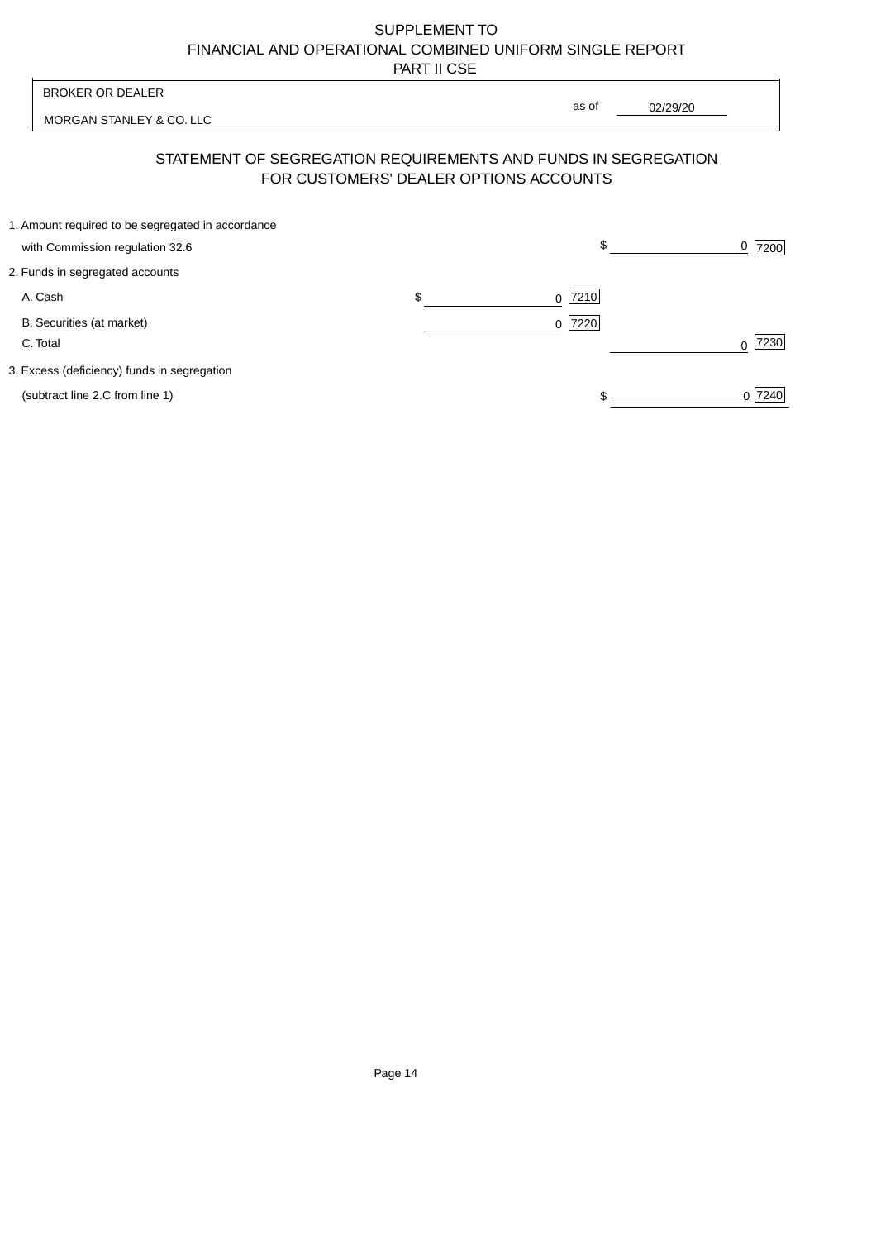| <b>BROKER OR DEALER</b>                                                              | as of                                  |          |                  |
|--------------------------------------------------------------------------------------|----------------------------------------|----------|------------------|
| MORGAN STANLEY & CO. LLC                                                             |                                        | 02/29/20 |                  |
| STATEMENT OF SEGREGATION REQUIREMENTS AND FUNDS IN SEGREGATION                       | FOR CUSTOMERS' DEALER OPTIONS ACCOUNTS |          |                  |
| 1. Amount required to be segregated in accordance<br>with Commission regulation 32.6 | \$                                     |          | <u>0</u>  7200   |
| 2. Funds in segregated accounts                                                      |                                        |          |                  |
| A. Cash                                                                              | \$<br>7210<br>$\Omega$                 |          |                  |
| B. Securities (at market)<br>C. Total                                                | 0 7220                                 |          | 7230<br>$\Omega$ |
| 3. Excess (deficiency) funds in segregation                                          |                                        |          |                  |
| (subtract line 2.C from line 1)                                                      |                                        |          | 0 7240           |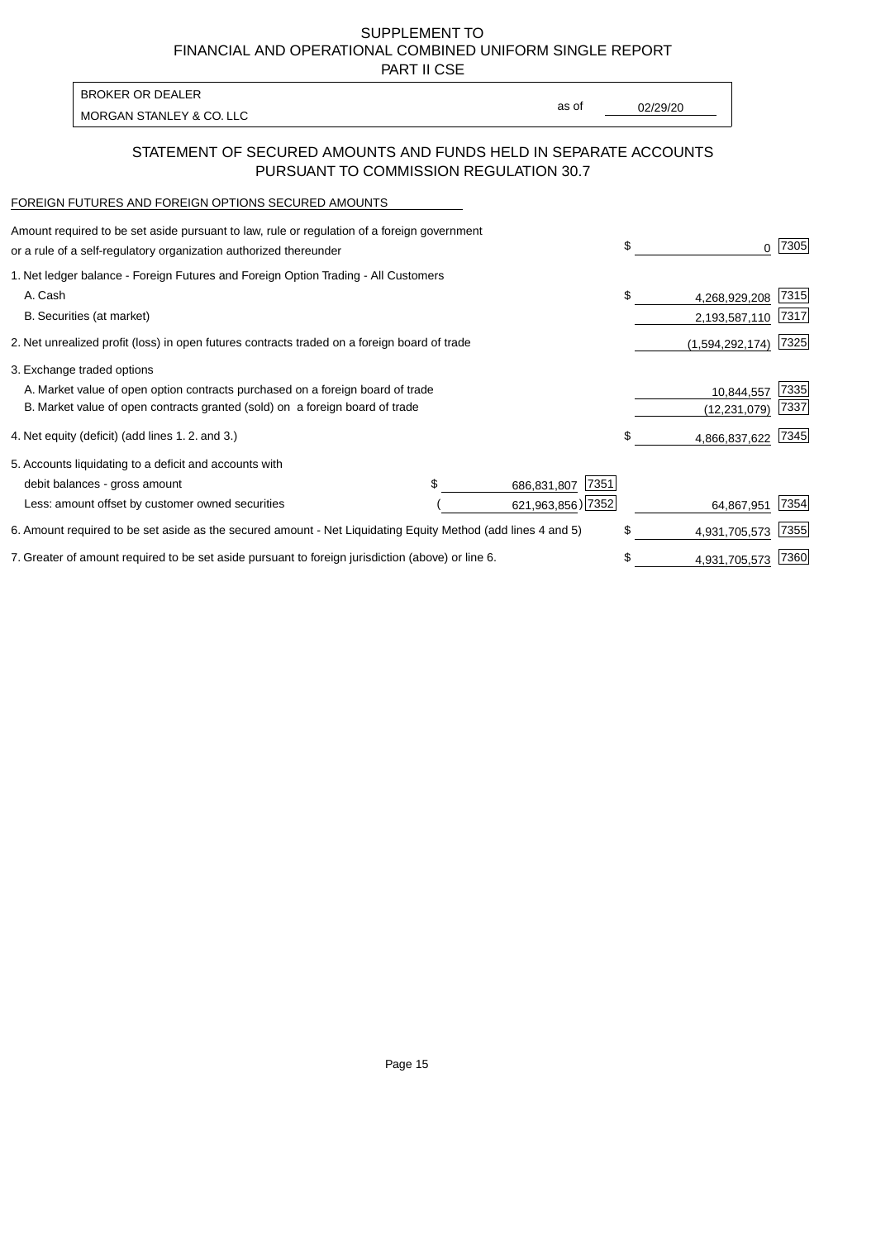PART II CSE

| BROKER OR DEALER         |       |          |
|--------------------------|-------|----------|
|                          | as of | 02/29/20 |
| MORGAN STANLEY & CO. LLC |       |          |

### STATEMENT OF SECURED AMOUNTS AND FUNDS HELD IN SEPARATE ACCOUNTS PURSUANT TO COMMISSION REGULATION 30.7

#### FOREIGN FUTURES AND FOREIGN OPTIONS SECURED AMOUNTS

| Amount required to be set aside pursuant to law, rule or regulation of a foreign government<br>or a rule of a self-regulatory organization authorized thereunder |  |                     | \$            | 0               | 7305 |
|------------------------------------------------------------------------------------------------------------------------------------------------------------------|--|---------------------|---------------|-----------------|------|
| 1. Net ledger balance - Foreign Futures and Foreign Option Trading - All Customers                                                                               |  |                     |               |                 |      |
| A. Cash                                                                                                                                                          |  |                     | \$            | 4,268,929,208   | 7315 |
| B. Securities (at market)                                                                                                                                        |  |                     |               | 2,193,587,110   | 7317 |
| 2. Net unrealized profit (loss) in open futures contracts traded on a foreign board of trade                                                                     |  |                     |               | (1,594,292,174) | 7325 |
| 3. Exchange traded options                                                                                                                                       |  |                     |               |                 |      |
| A. Market value of open option contracts purchased on a foreign board of trade                                                                                   |  |                     |               | 10,844,557      | 7335 |
| B. Market value of open contracts granted (sold) on a foreign board of trade                                                                                     |  |                     |               | (12, 231, 079)  | 7337 |
| 4. Net equity (deficit) (add lines 1.2. and 3.)                                                                                                                  |  |                     | \$.           | 4,866,837,622   | 7345 |
| 5. Accounts liquidating to a deficit and accounts with                                                                                                           |  |                     |               |                 |      |
| debit balances - gross amount                                                                                                                                    |  | 7351<br>686,831,807 |               |                 |      |
| Less: amount offset by customer owned securities                                                                                                                 |  | 621,963,856) 7352   |               | 64,867,951      | 7354 |
| 6. Amount required to be set aside as the secured amount - Net Liquidating Equity Method (add lines 4 and 5)                                                     |  | \$                  | 4,931,705,573 | 7355            |      |
| 7. Greater of amount required to be set aside pursuant to foreign jurisdiction (above) or line 6.                                                                |  | \$                  | 4,931,705,573 | 7360            |      |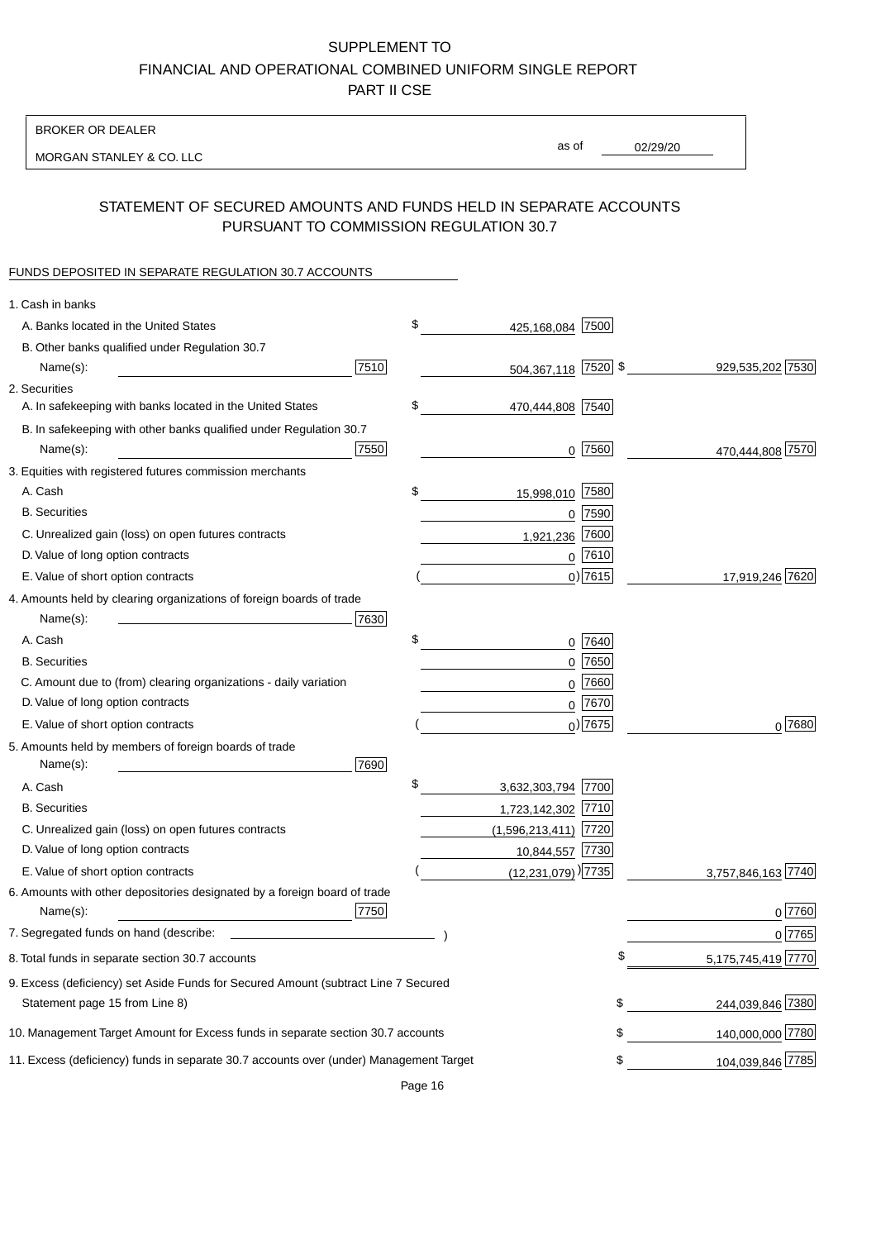#### BROKER OR DEALER

MORGAN STANLEY & CO. LLC

02/29/20 as of

## STATEMENT OF SECURED AMOUNTS AND FUNDS HELD IN SEPARATE ACCOUNTS PURSUANT TO COMMISSION REGULATION 30.7

## FUNDS DEPOSITED IN SEPARATE REGULATION 30.7 ACCOUNTS

| 1. Cash in banks                                                                       |      |                                    |             |                    |
|----------------------------------------------------------------------------------------|------|------------------------------------|-------------|--------------------|
| A. Banks located in the United States                                                  |      | \$<br>425,168,084                  | 7500        |                    |
| B. Other banks qualified under Regulation 30.7                                         |      |                                    |             |                    |
| Name(s):                                                                               | 7510 | 504,367,118 7520 \$                |             | 929,535,202 7530   |
| 2. Securities                                                                          |      |                                    |             |                    |
| A. In safekeeping with banks located in the United States                              |      | \$<br>470,444,808 7540             |             |                    |
| B. In safekeeping with other banks qualified under Regulation 30.7                     |      |                                    |             |                    |
| Name(s):                                                                               | 7550 | 0                                  | 7560        | 470,444,808 7570   |
| 3. Equities with registered futures commission merchants                               |      |                                    |             |                    |
| A. Cash                                                                                |      | \$<br>15,998,010 7580              |             |                    |
| <b>B.</b> Securities                                                                   |      |                                    | $0$ $7590$  |                    |
| C. Unrealized gain (loss) on open futures contracts                                    |      | 1,921,236                          | 7600        |                    |
| D. Value of long option contracts                                                      |      |                                    | $0$ 7610    |                    |
| E. Value of short option contracts                                                     |      |                                    | $0)$ 7615   | 17,919,246 7620    |
| 4. Amounts held by clearing organizations of foreign boards of trade                   |      |                                    |             |                    |
| Name(s):                                                                               | 7630 |                                    |             |                    |
| A. Cash                                                                                |      | \$                                 | 0 7640      |                    |
| <b>B.</b> Securities                                                                   |      |                                    | $0$ 7650    |                    |
| C. Amount due to (from) clearing organizations - daily variation                       |      | 0                                  | 7660        |                    |
| D. Value of long option contracts                                                      |      |                                    | 0 7670      |                    |
| E. Value of short option contracts                                                     |      |                                    | $_0$ ) 7675 | 0 7680             |
| 5. Amounts held by members of foreign boards of trade                                  |      |                                    |             |                    |
| Name(s):                                                                               | 7690 |                                    |             |                    |
| A. Cash                                                                                |      | \$<br>3,632,303,794 7700           |             |                    |
| <b>B.</b> Securities                                                                   |      | 1,723,142,302 7710                 |             |                    |
| C. Unrealized gain (loss) on open futures contracts                                    |      | $(1,596,213,411)$ 7720             |             |                    |
| D. Value of long option contracts                                                      |      | 10,844,557 7730                    |             |                    |
| E. Value of short option contracts                                                     |      | $(12,231,079)$ <sup>)</sup> $7735$ |             | 3,757,846,163 7740 |
| 6. Amounts with other depositories designated by a foreign board of trade              |      |                                    |             |                    |
| Name(s):                                                                               | 7750 |                                    |             | 0 7760             |
| 7. Segregated funds on hand (describe:                                                 |      |                                    |             | 0 7765             |
| 8. Total funds in separate section 30.7 accounts                                       |      |                                    |             | 5,175,745,419 7770 |
| 9. Excess (deficiency) set Aside Funds for Secured Amount (subtract Line 7 Secured     |      |                                    |             |                    |
| Statement page 15 from Line 8)                                                         |      |                                    | \$          | 244,039,846 7380   |
| 10. Management Target Amount for Excess funds in separate section 30.7 accounts        |      |                                    | \$          | 140,000,000 7780   |
| 11. Excess (deficiency) funds in separate 30.7 accounts over (under) Management Target |      |                                    | \$          | 104,039,846 7785   |
|                                                                                        |      |                                    |             |                    |